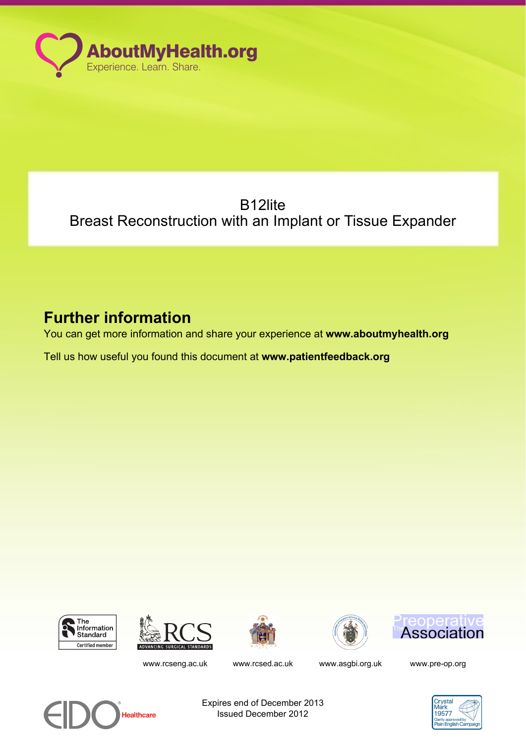

# B12lite Breast Reconstruction with an Implant or Tissue Expander

# **Further information**

You can get more information and share your experience at **www.aboutmyhealth.org**

Tell us how useful you found this document at **www.patientfeedback.org**











www.rcseng.ac.uk www.rcsed.ac.uk www.asqbi.org.uk www.pre-op.org



Expires end of December 2013 Issued December 2012

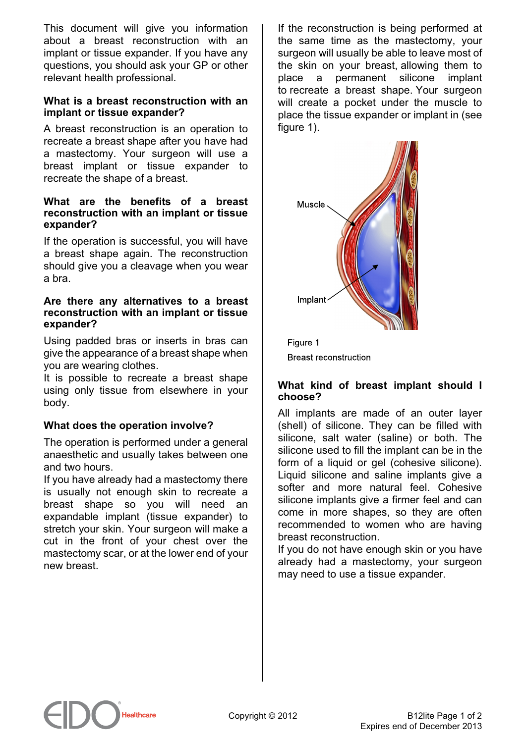This document will give you information about a breast reconstruction with an implant or tissue expander. If you have any questions, you should ask your GP or other relevant health professional.

#### **What is a breast reconstruction with an implant or tissue expander?**

A breast reconstruction is an operation to recreate a breast shape after you have had a mastectomy. Your surgeon will use a breast implant or tissue expander to recreate the shape of a breast.

#### **What are the benefits of a breast reconstruction with an implant or tissue expander?**

If the operation is successful, you will have a breast shape again. The reconstruction should give you a cleavage when you wear a bra.

#### **Are there any alternatives to a breast reconstruction with an implant or tissue expander?**

Using padded bras or inserts in bras can give the appearance of a breast shape when you are wearing clothes.

It is possible to recreate a breast shape using only tissue from elsewhere in your body.

# **What does the operation involve?**

The operation is performed under a general anaesthetic and usually takes between one and two hours.

If you have already had a mastectomy there is usually not enough skin to recreate a breast shape so you will need an expandable implant (tissue expander) to stretch your skin. Your surgeon will make a cut in the front of your chest over the mastectomy scar, or at the lower end of your new breast.

If the reconstruction is being performed at the same time as the mastectomy, your surgeon will usually be able to leave most of the skin on your breast, allowing them to place a permanent silicone implant to recreate a breast shape. Your surgeon will create a pocket under the muscle to place the tissue expander or implant in (see figure 1).



Figure 1 **Breast reconstruction** 

#### **What kind of breast implant should I choose?**

All implants are made of an outer layer (shell) of silicone. They can be filled with silicone, salt water (saline) or both. The silicone used to fill the implant can be in the form of a liquid or gel (cohesive silicone). Liquid silicone and saline implants give a softer and more natural feel. Cohesive silicone implants give a firmer feel and can come in more shapes, so they are often recommended to women who are having breast reconstruction.

If you do not have enough skin or you have already had a mastectomy, your surgeon may need to use a tissue expander.